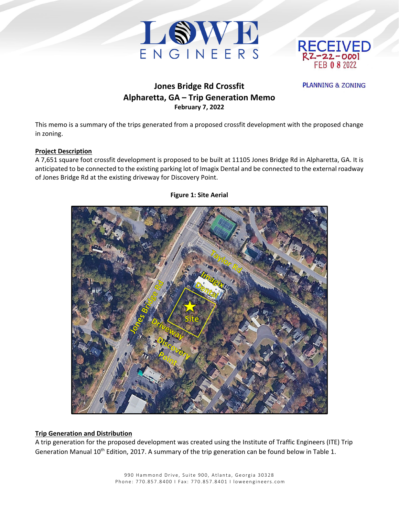



**PLANNING & ZONING** 

# **Jones Bridge Rd Crossfit Alpharetta, GA – Trip Generation Memo February 7, 2022**

This memo is a summary of the trips generated from a proposed crossfit development with the proposed change in zoning.

### **Project Description**

A 7,651 square foot crossfit development is proposed to be built at 11105 Jones Bridge Rd in Alpharetta, GA. It is anticipated to be connected to the existing parking lot of Imagix Dental and be connected to the external roadway of Jones Bridge Rd at the existing driveway for Discovery Point.



#### **Figure 1: Site Aerial**

#### **Trip Generation and Distribution**

A trip generation for the proposed development was created using the Institute of Traffic Engineers (ITE) Trip Generation Manual 10<sup>th</sup> Edition, 2017. A summary of the trip generation can be found below in Table 1.